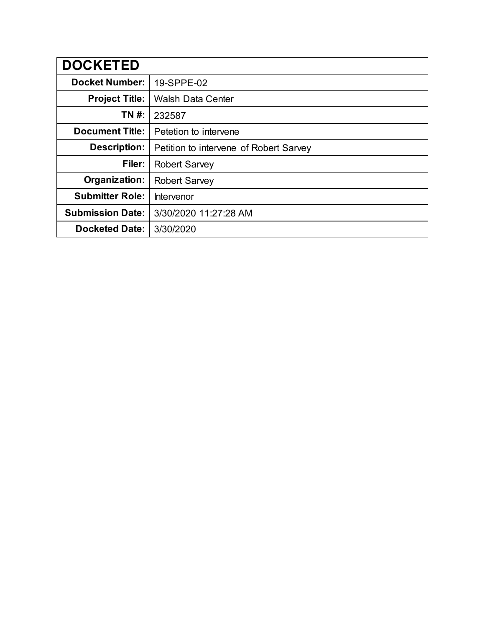| <b>DOCKETED</b>         |                                        |
|-------------------------|----------------------------------------|
| <b>Docket Number:</b>   | 19-SPPE-02                             |
| <b>Project Title:</b>   | <b>Walsh Data Center</b>               |
| TN #:                   | 232587                                 |
| <b>Document Title:</b>  | Petetion to intervene                  |
| <b>Description:</b>     | Petition to intervene of Robert Sarvey |
| Filer:                  | <b>Robert Sarvey</b>                   |
| Organization:           | <b>Robert Sarvey</b>                   |
| <b>Submitter Role:</b>  | Intervenor                             |
| <b>Submission Date:</b> | 3/30/2020 11:27:28 AM                  |
| <b>Docketed Date:</b>   | 3/30/2020                              |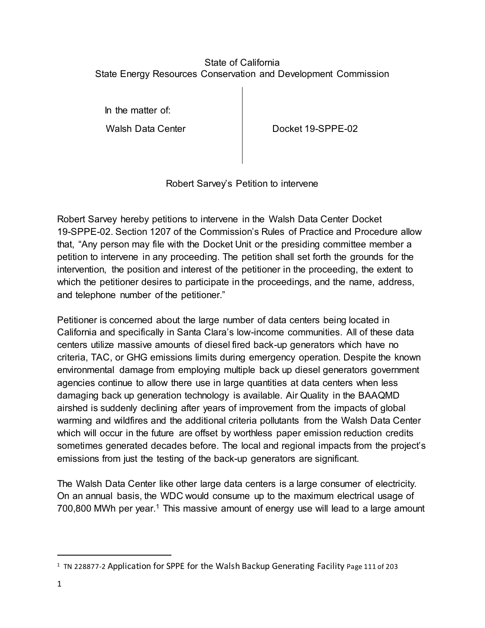## State of California State Energy Resources Conservation and Development Commission

In the matter of:

Walsh Data Center **Docket 19-SPPE-02** 

Robert Sarvey's Petition to intervene

Robert Sarvey hereby petitions to intervene in the Walsh Data Center Docket 19-SPPE-02. Section 1207 of the Commission's Rules of Practice and Procedure allow that, "Any person may file with the Docket Unit or the presiding committee member a petition to intervene in any proceeding. The petition shall set forth the grounds for the intervention, the position and interest of the petitioner in the proceeding, the extent to which the petitioner desires to participate in the proceedings, and the name, address, and telephone number of the petitioner."

Petitioner is concerned about the large number of data centers being located in California and specifically in Santa Clara's low-income communities. All of these data centers utilize massive amounts of diesel fired back-up generators which have no criteria, TAC, or GHG emissions limits during emergency operation. Despite the known environmental damage from employing multiple back up diesel generators government agencies continue to allow there use in large quantities at data centers when less damaging back up generation technology is available. Air Quality in the BAAQMD airshed is suddenly declining after years of improvement from the impacts of global warming and wildfires and the additional criteria pollutants from the Walsh Data Center which will occur in the future are offset by worthless paper emission reduction credits sometimes generated decades before. The local and regional impacts from the project's emissions from just the testing of the back-up generators are significant.

The Walsh Data Center like other large data centers is a large consumer of electricity. On an annual basis, the WDC would consume up to the maximum electrical usage of 700,800 MWh per year.<sup>1</sup> This massive amount of energy use will lead to a large amount

 $\overline{a}$ 

<sup>&</sup>lt;sup>1</sup> TN 228877-2 Application for SPPE for the Walsh Backup Generating Facility Page 111 of 203